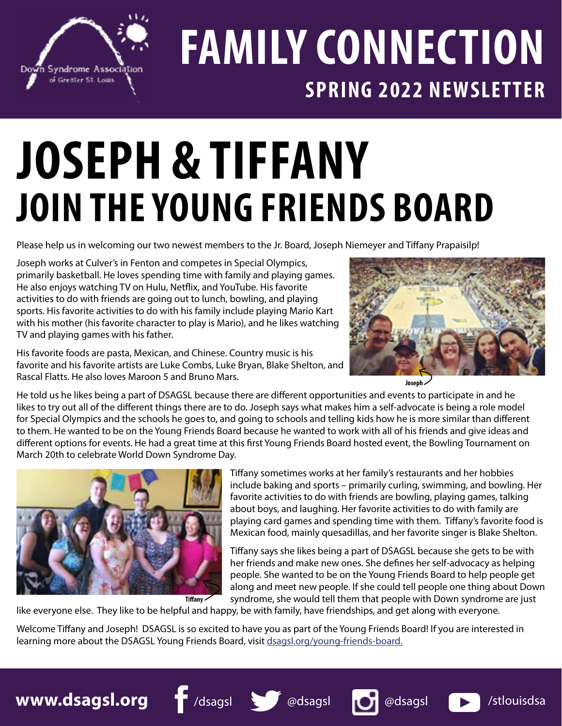

## **FAMILY CONNECTION SPRING 2022 NEWSLETTER**

## **JOSEPH & TIFFANY JOIN THE YOUNG FRIENDS BOARD**

Please help us in welcoming our two newest members to the Jr. Board, Joseph Niemeyer and Tiffany Prapaisilp!

Joseph works at Culver's in Fenton and competes in Special Olympics, primarily basketball. He loves spending time with family and playing games. He also enjoys watching TV on Hulu, Netflix, and YouTube. His favorite activities to do with friends are going out to lunch, bowling, and playing sports. His favorite activities to do with his family include playing Mario Kart with his mother (his favorite character to play is Mario), and he likes watching TV and playing games with his father.

His favorite foods are pasta, Mexican, and Chinese. Country music is his favorite and his favorite artists are Luke Combs, Luke Bryan, Blake Shelton, and Rascal Flatts. He also loves Maroon 5 and Bruno Mars.



**Joseph**

He told us he likes being a part of DSAGSL because there are different opportunities and events to participate in and he likes to try out all of the different things there are to do. Joseph says what makes him a self-advocate is being a role model for Special Olympics and the schools he goes to, and going to schools and telling kids how he is more similar than different to them. He wanted to be on the Young Friends Board because he wanted to work with all of his friends and give ideas and different options for events. He had a great time at this first Young Friends Board hosted event, the Bowling Tournament on March 20th to celebrate World Down Syndrome Day.



Tiffany sometimes works at her family's restaurants and her hobbies include baking and sports – primarily curling, swimming, and bowling. Her favorite activities to do with friends are bowling, playing games, talking about boys, and laughing. Her favorite activities to do with family are playing card games and spending time with them. Tiffany's favorite food is Mexican food, mainly quesadillas, and her favorite singer is Blake Shelton.

Tiffany says she likes being a part of DSAGSL because she gets to be with her friends and make new ones. She defines her self-advocacy as helping people. She wanted to be on the Young Friends Board to help people get along and meet new people. If she could tell people one thing about Down syndrome, she would tell them that people with Down syndrome are just

like everyone else. They like to be helpful and happy, be with family, have friendships, and get along with everyone.

Welcome Tiffany and Joseph! DSAGSL is so excited to have you as part of the Young Friends Board! If you are interested in learning more about the DSAGSL Young Friends Board, visit [dsagsl.org/young-friends-board.](http://dsagsl.org/young-friends-board.)

**www.dsagsl.org f** /dsagsl **see the desagsl of adsagsl <b>b** /stlouisdsa



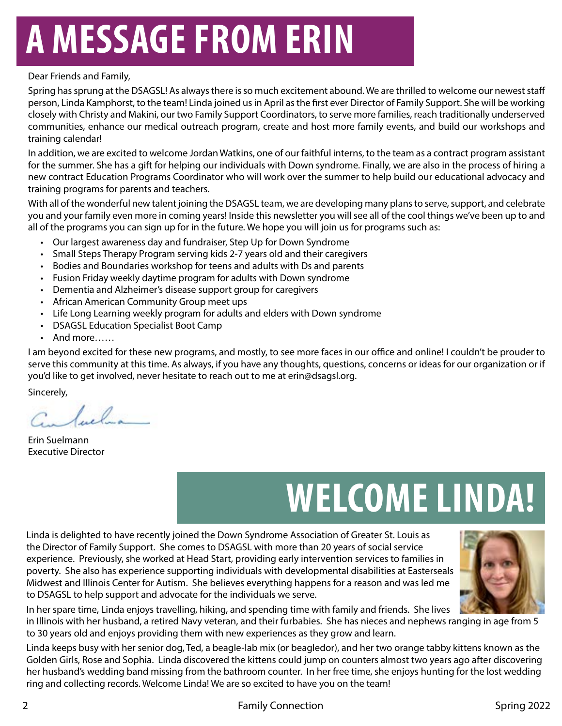## **A MESSAGE FROM ERIN**

#### Dear Friends and Family,

Spring has sprung at the DSAGSL! As always there is so much excitement abound. We are thrilled to welcome our newest staff person, Linda Kamphorst, to the team! Linda joined us in April as the first ever Director of Family Support. She will be working closely with Christy and Makini, our two Family Support Coordinators, to serve more families, reach traditionally underserved communities, enhance our medical outreach program, create and host more family events, and build our workshops and training calendar!

In addition, we are excited to welcome Jordan Watkins, one of our faithful interns, to the team as a contract program assistant for the summer. She has a gift for helping our individuals with Down syndrome. Finally, we are also in the process of hiring a new contract Education Programs Coordinator who will work over the summer to help build our educational advocacy and training programs for parents and teachers.

With all of the wonderful new talent joining the DSAGSL team, we are developing many plans to serve, support, and celebrate you and your family even more in coming years! Inside this newsletter you will see all of the cool things we've been up to and all of the programs you can sign up for in the future. We hope you will join us for programs such as:

- Our largest awareness day and fundraiser, Step Up for Down Syndrome
- Small Steps Therapy Program serving kids 2-7 years old and their caregivers
- Bodies and Boundaries workshop for teens and adults with Ds and parents
- Fusion Friday weekly daytime program for adults with Down syndrome
- Dementia and Alzheimer's disease support group for caregivers
- African American Community Group meet ups
- Life Long Learning weekly program for adults and elders with Down syndrome
- DSAGSL Education Specialist Boot Camp
- And more……

I am beyond excited for these new programs, and mostly, to see more faces in our office and online! I couldn't be prouder to serve this community at this time. As always, if you have any thoughts, questions, concerns or ideas for our organization or if you'd like to get involved, never hesitate to reach out to me at erin@dsagsl.org.

Sincerely,

Sula

Erin Suelmann Executive Director

## **WELCOME LINDA!**

Linda is delighted to have recently joined the Down Syndrome Association of Greater St. Louis as the Director of Family Support. She comes to DSAGSL with more than 20 years of social service experience. Previously, she worked at Head Start, providing early intervention services to families in poverty. She also has experience supporting individuals with developmental disabilities at Easterseals Midwest and Illinois Center for Autism. She believes everything happens for a reason and was led me to DSAGSL to help support and advocate for the individuals we serve.



In her spare time, Linda enjoys travelling, hiking, and spending time with family and friends. She lives

in Illinois with her husband, a retired Navy veteran, and their furbabies. She has nieces and nephews ranging in age from 5 to 30 years old and enjoys providing them with new experiences as they grow and learn.

Linda keeps busy with her senior dog, Ted, a beagle-lab mix (or beagledor), and her two orange tabby kittens known as the Golden Girls, Rose and Sophia. Linda discovered the kittens could jump on counters almost two years ago after discovering her husband's wedding band missing from the bathroom counter. In her free time, she enjoys hunting for the lost wedding ring and collecting records. Welcome Linda! We are so excited to have you on the team!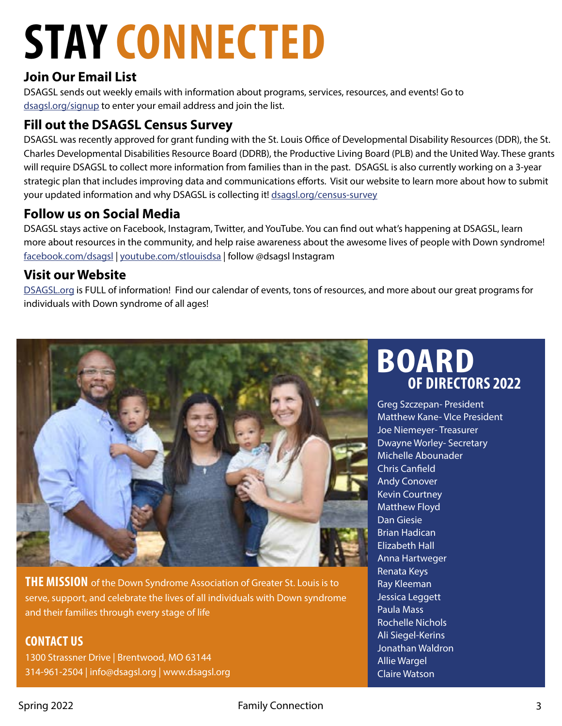## **STAY CONNECTED**

### **Join Our Email List**

DSAGSL sends out weekly emails with information about programs, services, resources, and events! Go to [dsagsl.org/signup](http://www.dsagsl.org/signup) to enter your email address and join the list.

### **Fill out the DSAGSL Census Survey**

DSAGSL was recently approved for grant funding with the St. Louis Office of Developmental Disability Resources (DDR), the St. Charles Developmental Disabilities Resource Board (DDRB), the Productive Living Board (PLB) and the United Way. These grants will require DSAGSL to collect more information from families than in the past. DSAGSL is also currently working on a 3-year strategic plan that includes improving data and communications efforts. Visit our website to learn more about how to submit your updated information and why DSAGSL is collecting it! [dsagsl.org/](http://dsagsl.org/signup)census-survey

### **Follow us on Social Media**

DSAGSL stays active on Facebook, Instagram, Twitter, and YouTube. You can find out what's happening at DSAGSL, learn more about resources in the community, and help raise awareness about the awesome lives of people with Down syndrome! [facebook.com/dsagsl](http://facebook.com/dsagsl) | [youtube.com/stlouisdsa](http://youtube.com/stlouisdsa) | follow @dsagsl Instagram

### **Visit our Website**

DSAGS[L.org](http://www.dsagsl.org) is FULL of information! Find our calendar of events, tons of resources, and more about our great programs for individuals with Down syndrome of all ages!



**THE MISSION** of the Down Syndrome Association of Greater St. Louis is to serve, support, and celebrate the lives of all individuals with Down syndrome and their families through every stage of life

### **CONTACT US**

1300 Strassner Drive | Brentwood, MO 63144 314-961-2504 | info@dsagsl.org | www.dsagsl.org

## **OF DIRECTORS 2022 BOARD**

Greg Szczepan- President Matthew Kane- VIce President Joe Niemeyer- Treasurer Dwayne Worley- Secretary Michelle Abounader Chris Canfield Andy Conover Kevin Courtney Matthew Floyd Dan Giesie Brian Hadican Elizabeth Hall Anna Hartweger Renata Keys Ray Kleeman Jessica Leggett Paula Mass Rochelle Nichols Ali Siegel-Kerins Jonathan Waldron Allie Wargel Claire Watson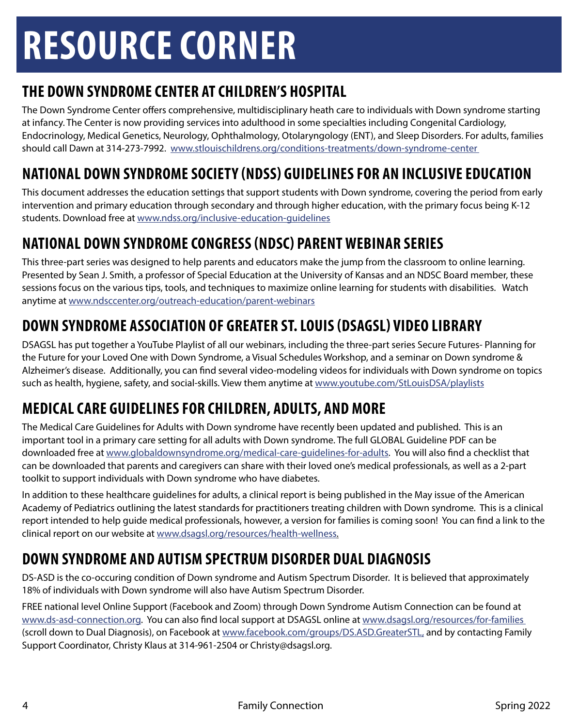## **RESOURCE CORNER**

## **THE DOWN SYNDROME CENTER AT CHILDREN'S HOSPITAL**

The Down Syndrome Center offers comprehensive, multidisciplinary heath care to individuals with Down syndrome starting at infancy. The Center is now providing services into adulthood in some specialties including Congenital Cardiology, Endocrinology, Medical Genetics, Neurology, Ophthalmology, Otolaryngology (ENT), and Sleep Disorders. For adults, families should call Dawn at 314-273-7992. [www.stlouischildrens.org/conditions-treatments/down-syndrome-center](http://www.stlouischildrens.org/conditions-treatments/down-syndrome-center)

## **NATIONAL DOWN SYNDROME SOCIETY (NDSS) GUIDELINES FOR AN INCLUSIVE EDUCATION**

This document addresses the education settings that support students with Down syndrome, covering the period from early intervention and primary education through secondary and through higher education, with the primary focus being K-12 students. Download free at [www.ndss.org/inclusive-education-guidelines](http:// dsagsl.org/programs/virtual)

## **NATIONAL DOWN SYNDROME CONGRESS (NDSC) PARENT WEBINAR SERIES**

This three-part series was designed to help parents and educators make the jump from the classroom to online learning. Presented by Sean J. Smith, a professor of Special Education at the University of Kansas and an NDSC Board member, these sessions focus on the various tips, tools, and techniques to maximize online learning for students with disabilities. Watch anytime at www[.ndsccenter.org/outreach-education/parent-webinars](https://www.ndsccenter.org/outreach-education/parent-webinars/)

## **DOWN SYNDROME ASSOCIATION OF GREATER ST. LOUIS (DSAGSL) VIDEO LIBRARY**

DSAGSL has put together a YouTube Playlist of all our webinars, including the three-part series Secure Futures- Planning for the Future for your Loved One with Down Syndrome, a Visual Schedules Workshop, and a seminar on Down syndrome & Alzheimer's disease. Additionally, you can find several video-modeling videos for individuals with Down syndrome on topics such as health, hygiene, safety, and social-skills. View them anytime at [www.youtube.com/StLouisDSA/playlists](http://www.youtube.com/StLouisDSA/playlists)

## **MEDICAL CARE GUIDELINES FOR CHILDREN, ADULTS, AND MORE**

The Medical Care Guidelines for Adults with Down syndrome have recently been updated and published. This is an important tool in a primary care setting for all adults with Down syndrome. The full GLOBAL Guideline PDF can be downloaded free at [www.globaldownsyndrome.org/medical-care-guidelines-for-adults](http://www.globaldownsyndrome.org/medical-care-guidelines-for-adults). You will also find a checklist that can be downloaded that parents and caregivers can share with their loved one's medical professionals, as well as a 2-part toolkit to support individuals with Down syndrome who have diabetes.

In addition to these healthcare guidelines for adults, a clinical report is being published in the May issue of the American Academy of Pediatrics outlining the latest standards for practitioners treating children with Down syndrome. This is a clinical report intended to help guide medical professionals, however, a version for families is coming soon! You can find a link to the clinical report on our website at [www.dsagsl.org/resources/health-wellness.](http://www.dsagsl.org/resources/health-wellness)

## **DOWN SYNDROME AND AUTISM SPECTRUM DISORDER DUAL DIAGNOSIS**

DS-ASD is the co-occuring condition of Down syndrome and Autism Spectrum Disorder. It is believed that approximately 18% of individuals with Down syndrome will also have Autism Spectrum Disorder.

FREE national level Online Support (Facebook and Zoom) through Down Syndrome Autism Connection can be found at [www.ds-asd-connection.org.](http://www.ds-asd-connection.org) You can also find local support at DSAGSL online at [www.dsagsl.org/resources/for-families](http://www.dsagsl.org/resources/for-families )  (scroll down to Dual Diagnosis), on Facebook at [www.facebook.com/groups/DS.ASD.GreaterSTL,](http://www.facebook.com/groups/DS.ASD.GreaterSTL,) and by contacting Family Support Coordinator, Christy Klaus at 314-961-2504 or Christy@dsagsl.org.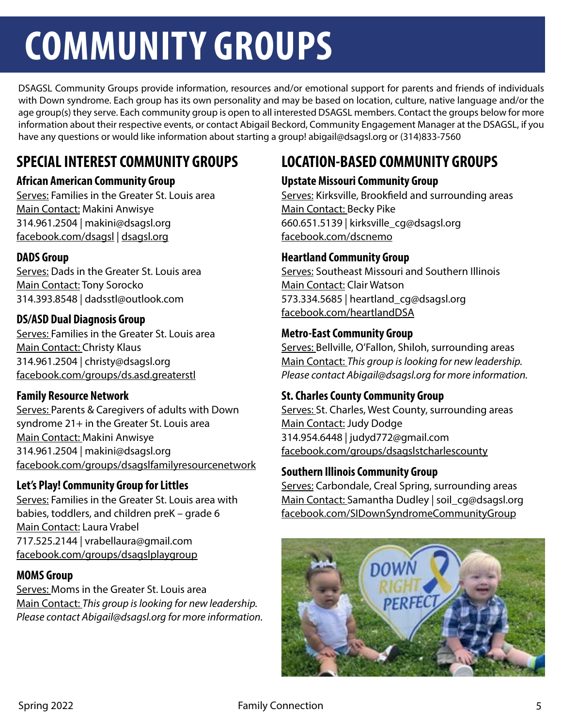## **COMMUNITY GROUPS**

DSAGSL Community Groups provide information, resources and/or emotional support for parents and friends of individuals with Down syndrome. Each group has its own personality and may be based on location, culture, native language and/or the age group(s) they serve. Each community group is open to all interested DSAGSL members. Contact the groups below for more information about their respective events, or contact Abigail Beckord, Community Engagement Manager at the DSAGSL, if you have any questions or would like information about starting a group! abigail@dsagsl.org or (314)833-7560

## **SPECIAL INTEREST COMMUNITY GROUPS**

#### **African American Community Group**

Serves: Families in the Greater St. Louis area Main Contact: Makini Anwisye 314.961.2504 | makini@dsagsl.org facebook.com/dsagsl | dsagsl.org

#### **DADS Group**

Serves: Dads in the Greater St. Louis area Main Contact: Tony Sorocko 314.393.8548 | dadsstl@outlook.com

#### **DS/ASD Dual Diagnosis Group**

Serves: Families in the Greater St. Louis area Main Contact: Christy Klaus 314.961.2504 | christy@dsagsl.org facebook.com/groups/ds.asd.greaterstl

#### **Family Resource Network**

Serves: Parents & Caregivers of adults with Down syndrome 21+ in the Greater St. Louis area Main Contact: Makini Anwisye 314.961.2504 | makini@dsagsl.org facebook.com/groups/dsagslfamilyresourcenetwork

#### **Let's Play! Community Group for Littles**

Serves: Families in the Greater St. Louis area with babies, toddlers, and children preK – grade 6 Main Contact: Laura Vrabel 717.525.2144 | vrabellaura@gmail.com facebook.com/groups/dsagslplaygroup

#### **MOMS Group**

Serves: Moms in the Greater St. Louis area Main Contact: *This group is looking for new leadership. Please contact Abigail@dsagsl.org for more information.*

## **LOCATION-BASED COMMUNITY GROUPS**

#### **Upstate Missouri Community Group**

Serves: Kirksville, Brookfield and surrounding areas Main Contact: Becky Pike 660.651.5139 | kirksville\_cg@dsagsl.org facebook.com/dscnemo

#### **Heartland Community Group**

Serves: Southeast Missouri and Southern Illinois Main Contact: Clair Watson 573.334.5685 | heartland\_cg@dsagsl.org facebook.com/heartlandDSA

#### **Metro-East Community Group**

Serves: Bellville, O'Fallon, Shiloh, surrounding areas Main Contact: *This group is looking for new leadership. Please contact Abigail@dsagsl.org for more information.*

#### **St. Charles County Community Group**

Serves: St. Charles, West County, surrounding areas Main Contact: Judy Dodge 314.954.6448 | judyd772@gmail.com facebook.com/groups/dsagslstcharlescounty

#### **Southern Illinois Community Group**

Serves: Carbondale, Creal Spring, surrounding areas Main Contact: Samantha Dudley | soil\_cg@dsagsl.org facebook.com/SIDownSyndromeCommunityGroup

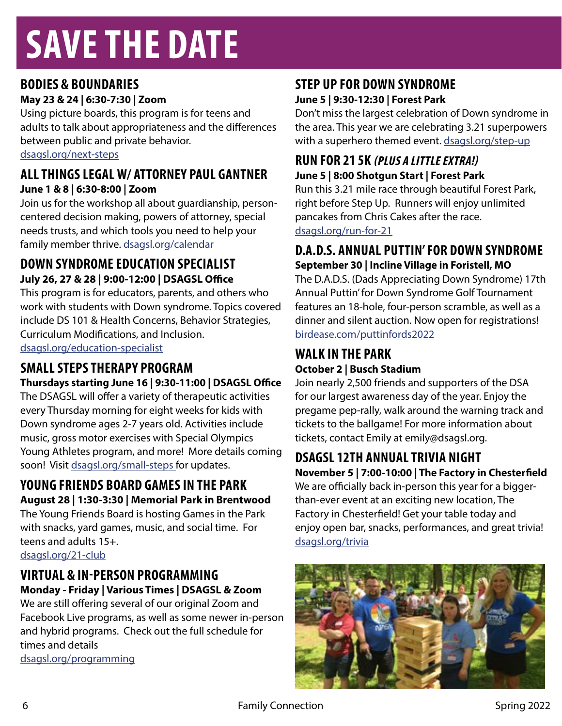## **SAVE THE DATE**

## **BODIES & BOUNDARIES**

**May 23 & 24 | 6:30-7:30 | Zoom**

Using picture boards, this program is for teens and adults to talk about appropriateness and the differences between public and private behavior. [dsagsl.org/next-steps](http://dsagsl.org/next-steps)

#### **ALL THINGS LEGAL W/ ATTORNEY PAUL GANTNER June 1 & 8 | 6:30-8:00 | Zoom**

Join us for the workshop all about guardianship, personcentered decision making, powers of attorney, special needs trusts, and which tools you need to help your family member thrive. [dsagsl.org/calendar](http://dsagsl.org/calendar)

### **DOWN SYNDROME EDUCATION SPECIALIST July 26, 27 & 28 | 9:00-12:00 | DSAGSL Office**

This program is for educators, parents, and others who work with students with Down syndrome. Topics covered include DS 101 & Health Concerns, Behavior Strategies, Curriculum Modifications, and Inclusion. [dsagsl.org/education-specialist](http://dsagsl.org/education-specialist )

### **SMALL STEPS THERAPY PROGRAM**

#### **Thursdays starting June 16 | 9:30-11:00 | DSAGSL Office**

The DSAGSL will offer a variety of therapeutic activities every Thursday morning for eight weeks for kids with Down syndrome ages 2-7 years old. Activities include music, gross motor exercises with Special Olympics Young Athletes program, and more! More details coming soon! Visit [dsagsl.org/small-steps](http://dsagsl.org/small-steps ) for updates.

### **YOUNG FRIENDS BOARD GAMES IN THE PARK August 28 | 1:30-3:30 | Memorial Park in Brentwood**

The Young Friends Board is hosting Games in the Park with snacks, yard games, music, and social time. For teens and adults 15+.

[dsagsl.org/21-club](http://dsagsl.org/21-club)

## **VIRTUAL & IN-PERSON PROGRAMMING**

**Monday - Friday | Various Times | DSAGSL & Zoom** We are still offering several of our original Zoom and Facebook Live programs, as well as some newer in-person and hybrid programs. Check out the full schedule for times and details [dsagsl.org/programming](http://dsagsl.org/programming)

### **STEP UP FOR DOWN SYNDROME June 5 | 9:30-12:30 | Forest Park**

Don't miss the largest celebration of Down syndrome in the area. This year we are celebrating 3.21 superpowers with a superhero themed event. [dsagsl.org/step-up](http://dsagsl.org/step-up)

### **RUN FOR 21 5K (PLUS A LITTLE EXTRA!) June 5 | 8:00 Shotgun Start | Forest Park**

Run this 3.21 mile race through beautiful Forest Park, right before Step Up. Runners will enjoy unlimited pancakes from Chris Cakes after the race. [dsagsl.org/run-for-21](http://dsagsl.org/run-for-21)

#### **D.A.D.S. ANNUAL PUTTIN' FOR DOWN SYNDROME September 30 | Incline Village in Foristell, MO**

The D.A.D.S. (Dads Appreciating Down Syndrome) 17th Annual Puttin' for Down Syndrome Golf Tournament features an 18-hole, four-person scramble, as well as a dinner and silent auction. Now open for registrations! [birdease.com/puttinfords2022](http://birdease.com/puttinfords2022)

### **WALK IN THE PARK October 2 | Busch Stadium**

Join nearly 2,500 friends and supporters of the DSA for our largest awareness day of the year. Enjoy the pregame pep-rally, walk around the warning track and tickets to the ballgame! For more information about tickets, contact Emily at emily@dsagsl.org.

### **DSAGSL 12TH ANNUAL TRIVIA NIGHT**

**November 5 | 7:00-10:00 | The Factory in Chesterfield**

We are officially back in-person this year for a biggerthan-ever event at an exciting new location, The Factory in Chesterfield! Get your table today and enjoy open bar, snacks, performances, and great trivia! [dsagsl.org/trivia](http://dsagsl.org/trivia)

![](_page_5_Picture_27.jpeg)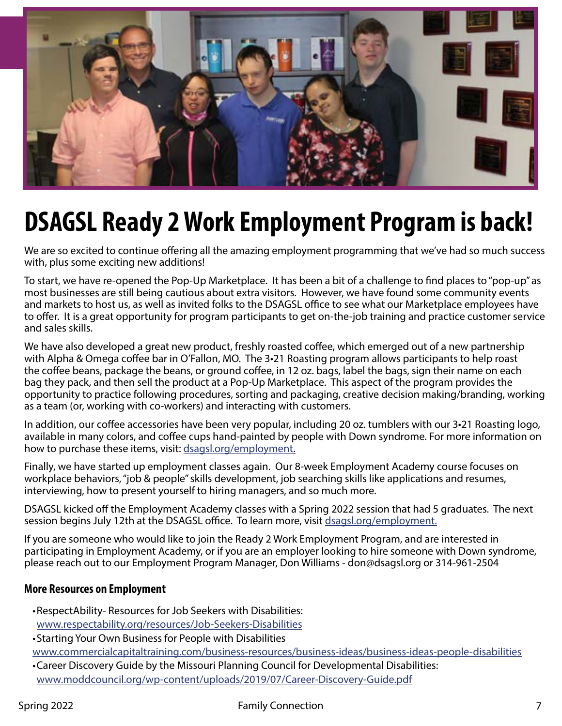![](_page_6_Picture_0.jpeg)

## **DSAGSL Ready 2 Work Employment Program is back!**

We are so excited to continue offering all the amazing employment programming that we've had so much success with, plus some exciting new additions!

To start, we have re-opened the Pop-Up Marketplace. It has been a bit of a challenge to find places to "pop-up" as most businesses are still being cautious about extra visitors. However, we have found some community events and markets to host us, as well as invited folks to the DSAGSL office to see what our Marketplace employees have to offer. It is a great opportunity for program participants to get on-the-job training and practice customer service and sales skills.

We have also developed a great new product, freshly roasted coffee, which emerged out of a new partnership with Alpha & Omega coffee bar in O'Fallon, MO. The 3•21 Roasting program allows participants to help roast the coffee beans, package the beans, or ground coffee, in 12 oz. bags, label the bags, sign their name on each bag they pack, and then sell the product at a Pop-Up Marketplace. This aspect of the program provides the opportunity to practice following procedures, sorting and packaging, creative decision making/branding, working as a team (or, working with co-workers) and interacting with customers.

In addition, our coffee accessories have been very popular, including 20 oz. tumblers with our 3•21 Roasting logo, available in many colors, and coffee cups hand-painted by people with Down syndrome. For more information on how to purchase these items, visit: [dsagsl.org/employment](http://dsagsl.org/employment).

Finally, we have started up employment classes again. Our 8-week Employment Academy course focuses on workplace behaviors, "job & people" skills development, job searching skills like applications and resumes, interviewing, how to present yourself to hiring managers, and so much more.

DSAGSL kicked off the Employment Academy classes with a Spring 2022 session that had 5 graduates. The next session begins July 12th at the DSAGSL office. To learn more, visit [dsagsl.org/employment.](http://dsagsl.org/employment.)

If you are someone who would like to join the Ready 2 Work Employment Program, and are interested in participating in Employment Academy, or if you are an employer looking to hire someone with Down syndrome, please reach out to our Employment Program Manager, Don Williams - don@dsagsl.org or 314-961-2504

#### **More Resources on Employment**

- •RespectAbility- Resources for Job Seekers with Disabilities: [www.respectability.org/resources/Job-Seekers-Disabilities](http://www.respectability.org/resources/Job-Seekers-Disabilities)
- •Starting Your Own Business for People with Disabilities

[www.commercialcapitaltraining.com/business-resources/business-ideas/business-ideas-people-disabilities](http:// www.commercialcapitaltraining.com/business-resources/business-ideas/business-ideas-people-disabilit) •Career Discovery Guide by the Missouri Planning Council for Developmental Disabilities:

[www.moddcouncil.org/wp-content/uploads/2019/07/Career-Discovery-Guide.pdf](http://www.moddcouncil.org/wp-content/uploads/2019/07/Career-Discovery-Guide.pdf)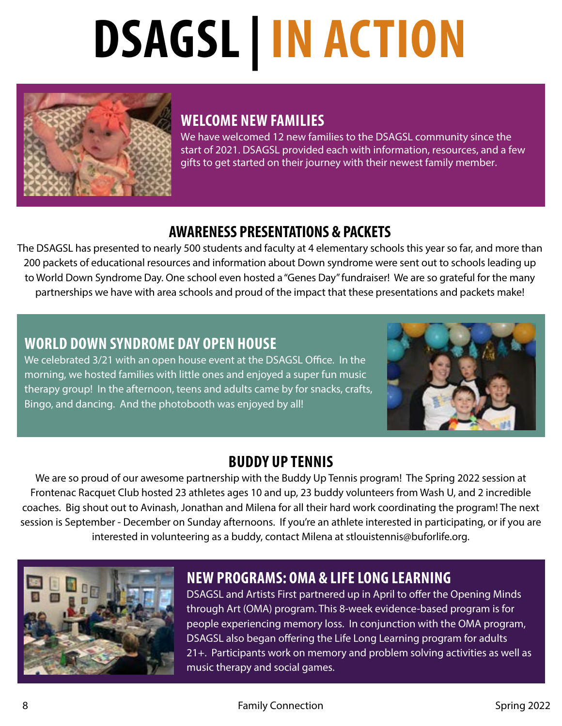# **DSAGSL | IN ACTION**

![](_page_7_Picture_1.jpeg)

## **WELCOME NEW FAMILIES**

We have welcomed 12 new families to the DSAGSL community since the start of 2021. DSAGSL provided each with information, resources, and a few gifts to get started on their journey with their newest family member.

### **AWARENESS PRESENTATIONS & PACKETS**

The DSAGSL has presented to nearly 500 students and faculty at 4 elementary schools this year so far, and more than 200 packets of educational resources and information about Down syndrome were sent out to schools leading up to World Down Syndrome Day. One school even hosted a "Genes Day" fundraiser! We are so grateful for the many partnerships we have with area schools and proud of the impact that these presentations and packets make!

### **WORLD DOWN SYNDROME DAY OPEN HOUSE**

We celebrated 3/21 with an open house event at the DSAGSL Office. In the morning, we hosted families with little ones and enjoyed a super fun music therapy group! In the afternoon, teens and adults came by for snacks, crafts, Bingo, and dancing. And the photobooth was enjoyed by all!

![](_page_7_Picture_8.jpeg)

### **BUDDY UP TENNIS**

We are so proud of our awesome partnership with the Buddy Up Tennis program! The Spring 2022 session at Frontenac Racquet Club hosted 23 athletes ages 10 and up, 23 buddy volunteers from Wash U, and 2 incredible coaches. Big shout out to Avinash, Jonathan and Milena for all their hard work coordinating the program! The next session is September - December on Sunday afternoons. If you're an athlete interested in participating, or if you are interested in volunteering as a buddy, contact Milena at stlouistennis@buforlife.org.

![](_page_7_Picture_11.jpeg)

## **NEW PROGRAMS: OMA & LIFE LONG LEARNING**

DSAGSL and Artists First partnered up in April to offer the Opening Minds through Art (OMA) program. This 8-week evidence-based program is for people experiencing memory loss. In conjunction with the OMA program, DSAGSL also began offering the Life Long Learning program for adults 21+. Participants work on memory and problem solving activities as well as music therapy and social games.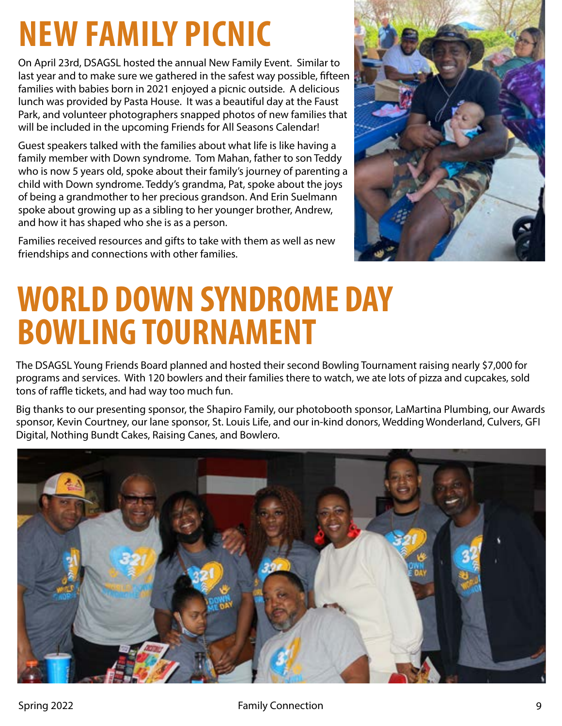## **NEW FAMILY PICNIC**

On April 23rd, DSAGSL hosted the annual New Family Event. Similar to last year and to make sure we gathered in the safest way possible, fifteen families with babies born in 2021 enjoyed a picnic outside. A delicious lunch was provided by Pasta House. It was a beautiful day at the Faust Park, and volunteer photographers snapped photos of new families that will be included in the upcoming Friends for All Seasons Calendar!

Guest speakers talked with the families about what life is like having a family member with Down syndrome. Tom Mahan, father to son Teddy who is now 5 years old, spoke about their family's journey of parenting a child with Down syndrome. Teddy's grandma, Pat, spoke about the joys of being a grandmother to her precious grandson. And Erin Suelmann spoke about growing up as a sibling to her younger brother, Andrew, and how it has shaped who she is as a person.

Families received resources and gifts to take with them as well as new friendships and connections with other families.

![](_page_8_Picture_4.jpeg)

## **WORLD DOWN SYNDROME DAY BOWLING TOURNAMENT**

The DSAGSL Young Friends Board planned and hosted their second Bowling Tournament raising nearly \$7,000 for programs and services. With 120 bowlers and their families there to watch, we ate lots of pizza and cupcakes, sold tons of raffle tickets, and had way too much fun.

Big thanks to our presenting sponsor, the Shapiro Family, our photobooth sponsor, LaMartina Plumbing, our Awards sponsor, Kevin Courtney, our lane sponsor, St. Louis Life, and our in-kind donors, Wedding Wonderland, Culvers, GFI Digital, Nothing Bundt Cakes, Raising Canes, and Bowlero.

![](_page_8_Picture_8.jpeg)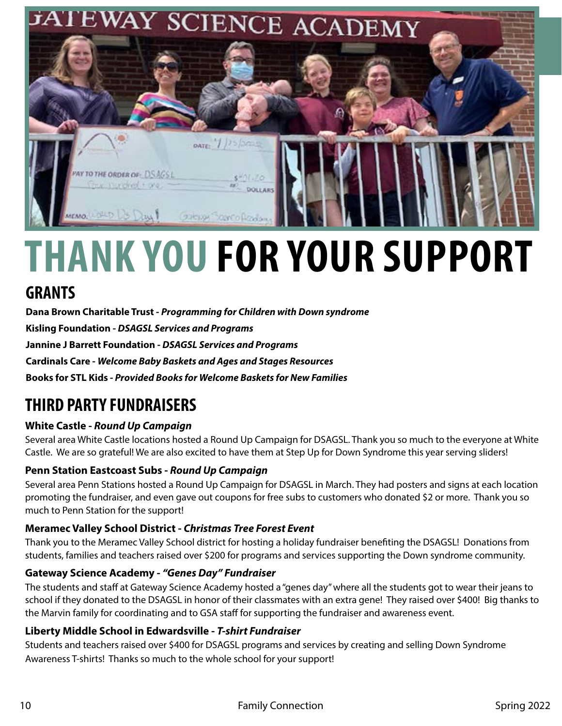![](_page_9_Picture_0.jpeg)

## **THANK YOU FOR YOUR SUPPORT**

## **GRANTS**

**Dana Brown Charitable Trust -** *Programming for Children with Down syndrome* **Kisling Foundation -** *DSAGSL Services and Programs* **Jannine J Barrett Foundation -** *DSAGSL Services and Programs* **Cardinals Care -** *Welcome Baby Baskets and Ages and Stages Resources*  **Books for STL Kids** *- Provided Books for Welcome Baskets for New Families*

## **THIRD PARTY FUNDRAISERS**

#### **White Castle -** *Round Up Campaign*

Several area White Castle locations hosted a Round Up Campaign for DSAGSL. Thank you so much to the everyone at White Castle. We are so grateful! We are also excited to have them at Step Up for Down Syndrome this year serving sliders!

#### **Penn Station Eastcoast Subs -** *Round Up Campaign*

Several area Penn Stations hosted a Round Up Campaign for DSAGSL in March. They had posters and signs at each location promoting the fundraiser, and even gave out coupons for free subs to customers who donated \$2 or more. Thank you so much to Penn Station for the support!

#### **Meramec Valley School District -** *Christmas Tree Forest Event*

Thank you to the Meramec Valley School district for hosting a holiday fundraiser benefiting the DSAGSL! Donations from students, families and teachers raised over \$200 for programs and services supporting the Down syndrome community.

#### **Gateway Science Academy -** *"Genes Day" Fundraiser*

The students and staff at Gateway Science Academy hosted a "genes day" where all the students got to wear their jeans to school if they donated to the DSAGSL in honor of their classmates with an extra gene! They raised over \$400! Big thanks to the Marvin family for coordinating and to GSA staff for supporting the fundraiser and awareness event.

#### **Liberty Middle School in Edwardsville -** *T-shirt Fundraiser*

Students and teachers raised over \$400 for DSAGSL programs and services by creating and selling Down Syndrome Awareness T-shirts! Thanks so much to the whole school for your support!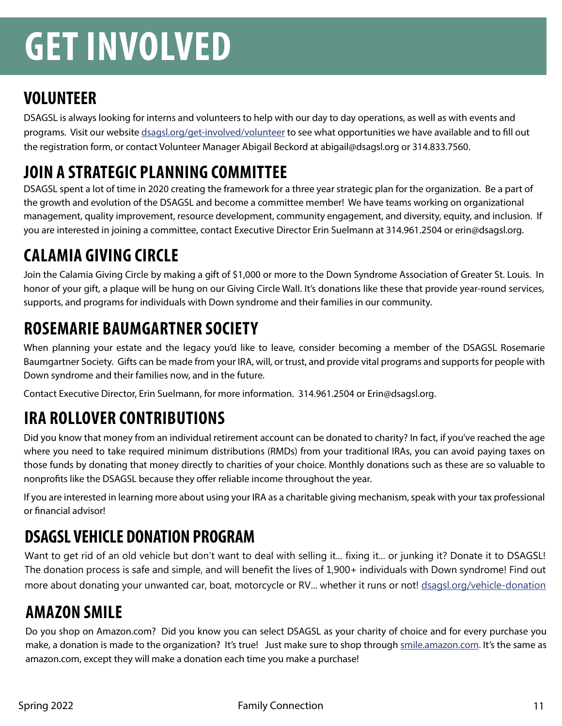## **GET INVOLVED**

## **VOLUNTEER**

DSAGSL is always looking for interns and volunteers to help with our day to day operations, as well as with events and programs. Visit our website [dsagsl.org/get-involved/volunteer](http://dsagsl.org/get-involved/volunteer) to see what opportunities we have available and to fill out the registration form, or contact Volunteer Manager Abigail Beckord at abigail@dsagsl.org or 314.833.7560.

## **JOIN A STRATEGIC PLANNING COMMITTEE**

DSAGSL spent a lot of time in 2020 creating the framework for a three year strategic plan for the organization. Be a part of the growth and evolution of the DSAGSL and become a committee member! We have teams working on organizational management, quality improvement, resource development, community engagement, and diversity, equity, and inclusion. If you are interested in joining a committee, contact Executive Director Erin Suelmann at 314.961.2504 or erin@dsagsl.org.

## **CALAMIA GIVING CIRCLE**

Join the Calamia Giving Circle by making a gift of \$1,000 or more to the Down Syndrome Association of Greater St. Louis. In honor of your gift, a plaque will be hung on our Giving Circle Wall. It's donations like these that provide year-round services, supports, and programs for individuals with Down syndrome and their families in our community.

## **ROSEMARIE BAUMGARTNER SOCIETY**

When planning your estate and the legacy you'd like to leave, consider becoming a member of the DSAGSL Rosemarie Baumgartner Society. Gifts can be made from your IRA, will, or trust, and provide vital programs and supports for people with Down syndrome and their families now, and in the future.

Contact Executive Director, Erin Suelmann, for more information. 314.961.2504 or Erin@dsagsl.org.

## **IRA ROLLOVER CONTRIBUTIONS**

Did you know that money from an individual retirement account can be donated to charity? In fact, if you've reached the age where you need to take required minimum distributions (RMDs) from your traditional IRAs, you can avoid paying taxes on those funds by donating that money directly to charities of your choice. Monthly donations such as these are so valuable to nonprofits like the DSAGSL because they offer reliable income throughout the year.

If you are interested in learning more about using your IRA as a charitable giving mechanism, speak with your tax professional or financial advisor!

## **DSAGSL VEHICLE DONATION PROGRAM**

Want to get rid of an old vehicle but don't want to deal with selling it... fixing it... or junking it? Donate it to DSAGSL! The donation process is safe and simple, and will benefit the lives of 1,900+ individuals with Down syndrome! Find out more about donating your unwanted car, boat, motorcycle or RV... whether it runs or not! [dsagsl.org/vehicle-donation](http://www.dsagsl.org/vehicle-donation)

## **AMAZON SMILE**

Do you shop on Amazon.com? Did you know you can select DSAGSL as your charity of choice and for every purchase you make, a donation is made to the organization? It's true! Just make sure to shop through [smile.amazon.com.](http://smile.amazon.com) It's the same as amazon.com, except they will make a donation each time you make a purchase!